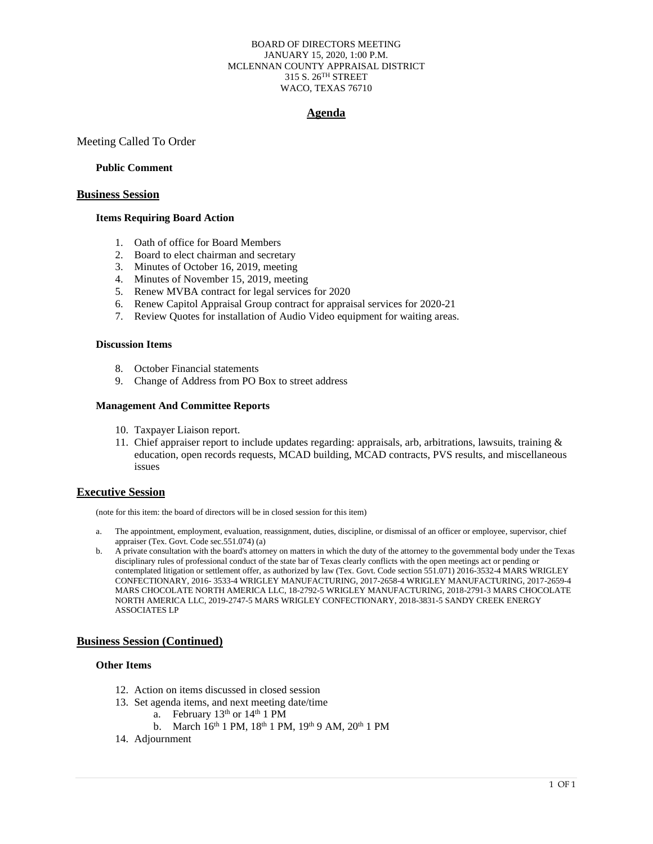#### BOARD OF DIRECTORS MEETING JANUARY 15, 2020, 1:00 P.M. MCLENNAN COUNTY APPRAISAL DISTRICT 315 S. 26TH STREET WACO, TEXAS 76710

## **Agenda**

Meeting Called To Order

#### **Public Comment**

#### **Business Session**

### **Items Requiring Board Action**

- 1. Oath of office for Board Members
- 2. Board to elect chairman and secretary
- 3. Minutes of October 16, 2019, meeting
- 4. Minutes of November 15, 2019, meeting
- 5. Renew MVBA contract for legal services for 2020
- 6. Renew Capitol Appraisal Group contract for appraisal services for 2020-21
- 7. Review Quotes for installation of Audio Video equipment for waiting areas.

#### **Discussion Items**

- 8. October Financial statements
- 9. Change of Address from PO Box to street address

#### **Management And Committee Reports**

- 10. Taxpayer Liaison report.
- 11. Chief appraiser report to include updates regarding: appraisals, arb, arbitrations, lawsuits, training & education, open records requests, MCAD building, MCAD contracts, PVS results, and miscellaneous issues

#### **Executive Session**

(note for this item: the board of directors will be in closed session for this item)

- a. The appointment, employment, evaluation, reassignment, duties, discipline, or dismissal of an officer or employee, supervisor, chief appraiser (Tex. Govt. Code sec.551.074) (a)
- b. A private consultation with the board's attorney on matters in which the duty of the attorney to the governmental body under the Texas disciplinary rules of professional conduct of the state bar of Texas clearly conflicts with the open meetings act or pending or contemplated litigation or settlement offer, as authorized by law (Tex. Govt. Code section 551.071) 2016-3532-4 MARS WRIGLEY CONFECTIONARY, 2016- 3533-4 WRIGLEY MANUFACTURING, 2017-2658-4 WRIGLEY MANUFACTURING, 2017-2659-4 MARS CHOCOLATE NORTH AMERICA LLC, 18-2792-5 WRIGLEY MANUFACTURING, 2018-2791-3 MARS CHOCOLATE NORTH AMERICA LLC, 2019-2747-5 MARS WRIGLEY CONFECTIONARY, 2018-3831-5 SANDY CREEK ENERGY ASSOCIATES LP

#### **Business Session (Continued)**

### **Other Items**

- 12. Action on items discussed in closed session
- 13. Set agenda items, and next meeting date/time
	- a. February  $13<sup>th</sup>$  or  $14<sup>th</sup>$  1 PM
		- b. March 16<sup>th</sup> 1 PM, 18<sup>th</sup> 1 PM, 19<sup>th</sup> 9 AM, 20<sup>th</sup> 1 PM
- 14. Adjournment